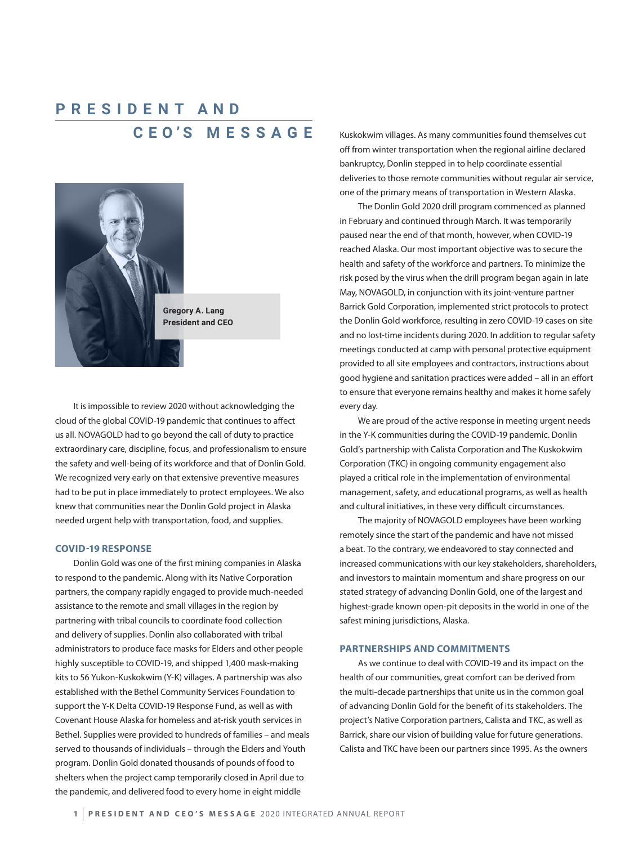# **C E O'S M E S S A G E PRESIDENT AND**



**Gregory A. Lang President and CEO**

It is impossible to review 2020 without acknowledging the cloud of the global COVID-19 pandemic that continues to affect us all. NOVAGOLD had to go beyond the call of duty to practice extraordinary care, discipline, focus, and professionalism to ensure the safety and well-being of its workforce and that of Donlin Gold. We recognized very early on that extensive preventive measures had to be put in place immediately to protect employees. We also knew that communities near the Donlin Gold project in Alaska needed urgent help with transportation, food, and supplies.

#### **COVID-19 RESPONSE**

Donlin Gold was one of the first mining companies in Alaska to respond to the pandemic. Along with its Native Corporation partners, the company rapidly engaged to provide much-needed assistance to the remote and small villages in the region by partnering with tribal councils to coordinate food collection and delivery of supplies. Donlin also collaborated with tribal administrators to produce face masks for Elders and other people highly susceptible to COVID-19, and shipped 1,400 mask-making kits to 56 Yukon-Kuskokwim (Y-K) villages. A partnership was also established with the Bethel Community Services Foundation to support the Y-K Delta COVID-19 Response Fund, as well as with Covenant House Alaska for homeless and at-risk youth services in Bethel. Supplies were provided to hundreds of families – and meals served to thousands of individuals – through the Elders and Youth program. Donlin Gold donated thousands of pounds of food to shelters when the project camp temporarily closed in April due to the pandemic, and delivered food to every home in eight middle

Kuskokwim villages. As many communities found themselves cut off from winter transportation when the regional airline declared bankruptcy, Donlin stepped in to help coordinate essential deliveries to those remote communities without regular air service, one of the primary means of transportation in Western Alaska.

The Donlin Gold 2020 drill program commenced as planned in February and continued through March. It was temporarily paused near the end of that month, however, when COVID-19 reached Alaska. Our most important objective was to secure the health and safety of the workforce and partners. To minimize the risk posed by the virus when the drill program began again in late May, NOVAGOLD, in conjunction with its joint-venture partner Barrick Gold Corporation, implemented strict protocols to protect the Donlin Gold workforce, resulting in zero COVID-19 cases on site and no lost-time incidents during 2020. In addition to regular safety meetings conducted at camp with personal protective equipment provided to all site employees and contractors, instructions about good hygiene and sanitation practices were added – all in an effort to ensure that everyone remains healthy and makes it home safely every day.

We are proud of the active response in meeting urgent needs in the Y-K communities during the COVID-19 pandemic. Donlin Gold's partnership with Calista Corporation and The Kuskokwim Corporation (TKC) in ongoing community engagement also played a critical role in the implementation of environmental management, safety, and educational programs, as well as health and cultural initiatives, in these very difficult circumstances.

The majority of NOVAGOLD employees have been working remotely since the start of the pandemic and have not missed a beat. To the contrary, we endeavored to stay connected and increased communications with our key stakeholders, shareholders, and investors to maintain momentum and share progress on our stated strategy of advancing Donlin Gold, one of the largest and highest-grade known open-pit deposits in the world in one of the safest mining jurisdictions, Alaska.

#### **PARTNERSHIPS AND COMMITMENTS**

As we continue to deal with COVID-19 and its impact on the health of our communities, great comfort can be derived from the multi-decade partnerships that unite us in the common goal of advancing Donlin Gold for the benefit of its stakeholders. The project's Native Corporation partners, Calista and TKC, as well as Barrick, share our vision of building value for future generations. Calista and TKC have been our partners since 1995. As the owners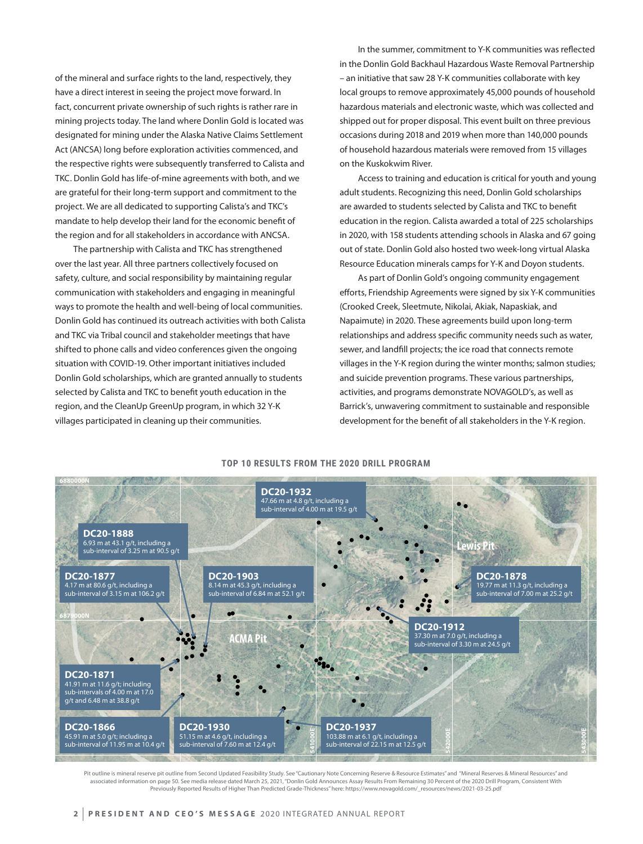of the mineral and surface rights to the land, respectively, they have a direct interest in seeing the project move forward. In fact, concurrent private ownership of such rights is rather rare in mining projects today. The land where Donlin Gold is located was designated for mining under the Alaska Native Claims Settlement Act (ANCSA) long before exploration activities commenced, and the respective rights were subsequently transferred to Calista and TKC. Donlin Gold has life-of-mine agreements with both, and we are grateful for their long-term support and commitment to the project. We are all dedicated to supporting Calista's and TKC's mandate to help develop their land for the economic benefit of the region and for all stakeholders in accordance with ANCSA.

The partnership with Calista and TKC has strengthened over the last year. All three partners collectively focused on safety, culture, and social responsibility by maintaining regular communication with stakeholders and engaging in meaningful ways to promote the health and well-being of local communities. Donlin Gold has continued its outreach activities with both Calista and TKC via Tribal council and stakeholder meetings that have shifted to phone calls and video conferences given the ongoing situation with COVID-19. Other important initiatives included Donlin Gold scholarships, which are granted annually to students selected by Calista and TKC to benefit youth education in the region, and the CleanUp GreenUp program, in which 32 Y-K villages participated in cleaning up their communities.

In the summer, commitment to Y-K communities was reflected in the Donlin Gold Backhaul Hazardous Waste Removal Partnership – an initiative that saw 28 Y-K communities collaborate with key local groups to remove approximately 45,000 pounds of household hazardous materials and electronic waste, which was collected and shipped out for proper disposal. This event built on three previous occasions during 2018 and 2019 when more than 140,000 pounds of household hazardous materials were removed from 15 villages on the Kuskokwim River.

Access to training and education is critical for youth and young adult students. Recognizing this need, Donlin Gold scholarships are awarded to students selected by Calista and TKC to benefit education in the region. Calista awarded a total of 225 scholarships in 2020, with 158 students attending schools in Alaska and 67 going out of state. Donlin Gold also hosted two week-long virtual Alaska Resource Education minerals camps for Y-K and Doyon students.

As part of Donlin Gold's ongoing community engagement efforts, Friendship Agreements were signed by six Y-K communities (Crooked Creek, Sleetmute, Nikolai, Akiak, Napaskiak, and Napaimute) in 2020. These agreements build upon long-term relationships and address specific community needs such as water, sewer, and landfill projects; the ice road that connects remote villages in the Y-K region during the winter months; salmon studies; and suicide prevention programs. These various partnerships, activities, and programs demonstrate NOVAGOLD's, as well as Barrick's, unwavering commitment to sustainable and responsible development for the benefit of all stakeholders in the Y-K region.



Pit outline is mineral reserve pit outline from Second Updated Feasibility Study. See "Cautionary Note Concerning Reserve & Resource Estimates" and "Mineral Reserves & Mineral Resources" and associated information on page 50. See media release dated March 25, 2021, "Donlin Gold Announces Assay Results From Remaining 30 Percent of the 2020 Drill Program, Consistent With Previously Reported Results of Higher Than Predicted Grade-Thickness" here: https://www.novagold.com/\_resources/news/2021-03-25.pdf

## **TOP 10 RESULTS FROM THE 2020 DRILL PROGRAM**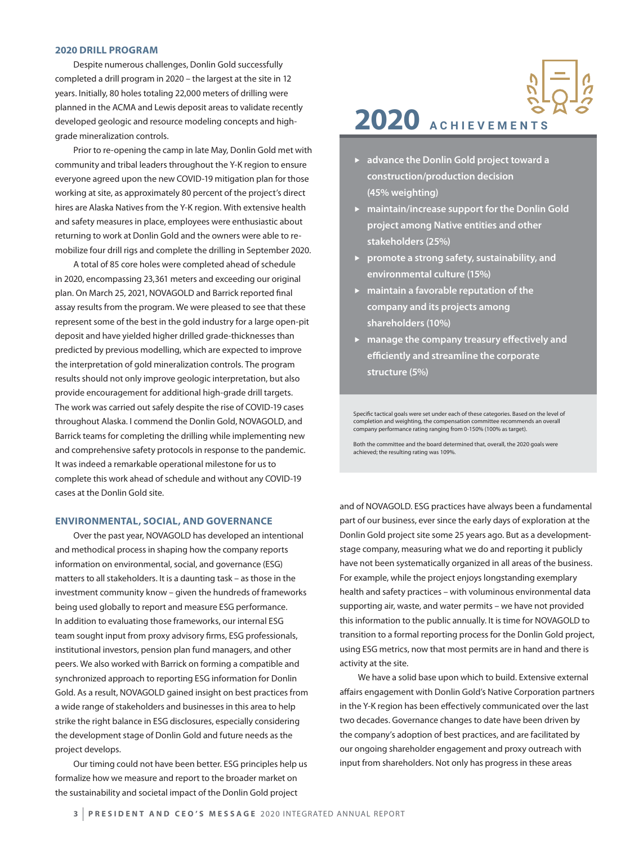#### **2020 DRILL PROGRAM**

Despite numerous challenges, Donlin Gold successfully completed a drill program in 2020 – the largest at the site in 12 years. Initially, 80 holes totaling 22,000 meters of drilling were planned in the ACMA and Lewis deposit areas to validate recently developed geologic and resource modeling concepts and highgrade mineralization controls.

Prior to re-opening the camp in late May, Donlin Gold met with community and tribal leaders throughout the Y-K region to ensure everyone agreed upon the new COVID-19 mitigation plan for those working at site, as approximately 80 percent of the project's direct hires are Alaska Natives from the Y-K region. With extensive health and safety measures in place, employees were enthusiastic about returning to work at Donlin Gold and the owners were able to remobilize four drill rigs and complete the drilling in September 2020.

A total of 85 core holes were completed ahead of schedule in 2020, encompassing 23,361 meters and exceeding our original plan. On March 25, 2021, NOVAGOLD and Barrick reported final assay results from the program. We were pleased to see that these represent some of the best in the gold industry for a large open-pit deposit and have yielded higher drilled grade-thicknesses than predicted by previous modelling, which are expected to improve the interpretation of gold mineralization controls. The program results should not only improve geologic interpretation, but also provide encouragement for additional high-grade drill targets. The work was carried out safely despite the rise of COVID-19 cases throughout Alaska. I commend the Donlin Gold, NOVAGOLD, and Barrick teams for completing the drilling while implementing new and comprehensive safety protocols in response to the pandemic. It was indeed a remarkable operational milestone for us to complete this work ahead of schedule and without any COVID-19 cases at the Donlin Gold site.

#### **ENVIRONMENTAL, SOCIAL, AND GOVERNANCE**

Over the past year, NOVAGOLD has developed an intentional and methodical process in shaping how the company reports information on environmental, social, and governance (ESG) matters to all stakeholders. It is a daunting task – as those in the investment community know – given the hundreds of frameworks being used globally to report and measure ESG performance. In addition to evaluating those frameworks, our internal ESG team sought input from proxy advisory firms, ESG professionals, institutional investors, pension plan fund managers, and other peers. We also worked with Barrick on forming a compatible and synchronized approach to reporting ESG information for Donlin Gold. As a result, NOVAGOLD gained insight on best practices from a wide range of stakeholders and businesses in this area to help strike the right balance in ESG disclosures, especially considering the development stage of Donlin Gold and future needs as the project develops.

Our timing could not have been better. ESG principles help us formalize how we measure and report to the broader market on the sustainability and societal impact of the Donlin Gold project



- **►** advance the Donlin Gold project toward a **construction/production decision (45% weighting)**
- **F** maintain/increase support for the Donlin Gold **project among Native entities and other stakeholders (25%)**
- **Peromote a strong safety, sustainability, and environmental culture (15%)**
- **F** maintain a favorable reputation of the **company and its projects among shareholders (10%)**
- **F** manage the company treasury effectively and **efficiently and streamline the corporate structure (5%)**

Specific tactical goals were set under each of these categories. Based on the level of completion and weighting, the compensation committee recommends an overall company performance rating ranging from 0-150% (100% as target).

Both the committee and the board determined that, overall, the 2020 goals were achieved; the resulting rating was 109%.

and of NOVAGOLD. ESG practices have always been a fundamental part of our business, ever since the early days of exploration at the Donlin Gold project site some 25 years ago. But as a developmentstage company, measuring what we do and reporting it publicly have not been systematically organized in all areas of the business. For example, while the project enjoys longstanding exemplary health and safety practices – with voluminous environmental data supporting air, waste, and water permits – we have not provided this information to the public annually. It is time for NOVAGOLD to transition to a formal reporting process for the Donlin Gold project, using ESG metrics, now that most permits are in hand and there is activity at the site.

We have a solid base upon which to build. Extensive external affairs engagement with Donlin Gold's Native Corporation partners in the Y-K region has been effectively communicated over the last two decades. Governance changes to date have been driven by the company's adoption of best practices, and are facilitated by our ongoing shareholder engagement and proxy outreach with input from shareholders. Not only has progress in these areas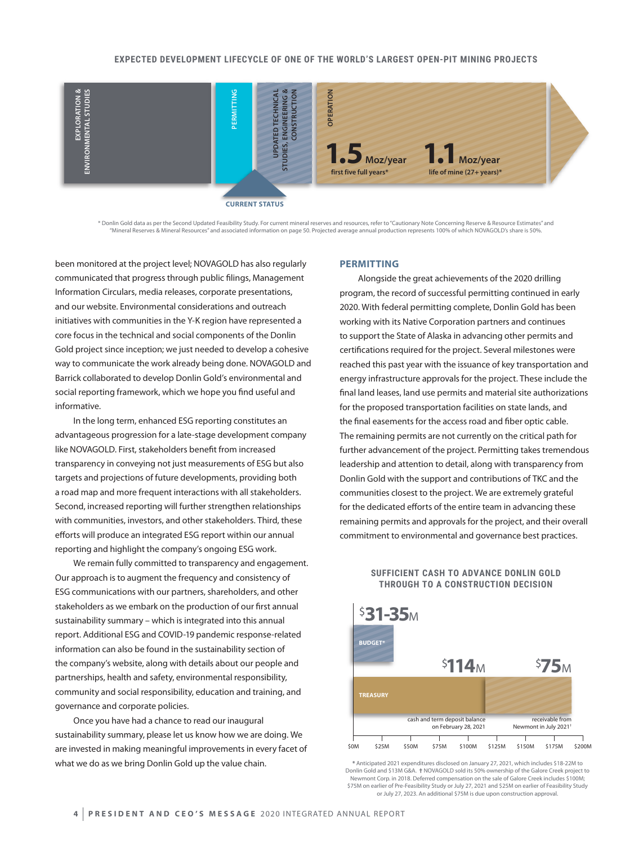

**CURRENT STATUS**

\* Donlin Gold data as per the Second Updated Feasibility Study. For current mineral reserves and resources, refer to "Cautionary Note Concerning Reserve & Resource Estimates" and "Mineral Reserves & Mineral Resources" and associated information on page 50. Projected average annual production represents 100% of which NOVAGOLD's share is 50%.

been monitored at the project level; NOVAGOLD has also regularly communicated that progress through public filings, Management Information Circulars, media releases, corporate presentations, and our website. Environmental considerations and outreach initiatives with communities in the Y-K region have represented a core focus in the technical and social components of the Donlin Gold project since inception; we just needed to develop a cohesive way to communicate the work already being done. NOVAGOLD and Barrick collaborated to develop Donlin Gold's environmental and social reporting framework, which we hope you find useful and informative.

In the long term, enhanced ESG reporting constitutes an advantageous progression for a late-stage development company like NOVAGOLD. First, stakeholders benefit from increased transparency in conveying not just measurements of ESG but also targets and projections of future developments, providing both a road map and more frequent interactions with all stakeholders. Second, increased reporting will further strengthen relationships with communities, investors, and other stakeholders. Third, these efforts will produce an integrated ESG report within our annual reporting and highlight the company's ongoing ESG work.

We remain fully committed to transparency and engagement. Our approach is to augment the frequency and consistency of ESG communications with our partners, shareholders, and other stakeholders as we embark on the production of our first annual sustainability summary – which is integrated into this annual report. Additional ESG and COVID-19 pandemic response-related information can also be found in the sustainability section of the company's website, along with details about our people and partnerships, health and safety, environmental responsibility, community and social responsibility, education and training, and governance and corporate policies.

Once you have had a chance to read our inaugural sustainability summary, please let us know how we are doing. We are invested in making meaningful improvements in every facet of what we do as we bring Donlin Gold up the value chain.

#### **PERMITTING**

Alongside the great achievements of the 2020 drilling program, the record of successful permitting continued in early 2020. With federal permitting complete, Donlin Gold has been working with its Native Corporation partners and continues to support the State of Alaska in advancing other permits and certifications required for the project. Several milestones were reached this past year with the issuance of key transportation and energy infrastructure approvals for the project. These include the final land leases, land use permits and material site authorizations for the proposed transportation facilities on state lands, and the final easements for the access road and fiber optic cable. The remaining permits are not currently on the critical path for further advancement of the project. Permitting takes tremendous leadership and attention to detail, along with transparency from Donlin Gold with the support and contributions of TKC and the communities closest to the project. We are extremely grateful for the dedicated efforts of the entire team in advancing these remaining permits and approvals for the project, and their overall commitment to environmental and governance best practices.

### **SUFFICIENT CASH TO ADVANCE DONLIN GOLD THROUGH TO A CONSTRUCTION DECISION**



**\*** Anticipated 2021 expenditures disclosed on January 27, 2021, which includes \$18-22M to Donlin Gold and \$13M G&A. **†** NOVAGOLD sold its 50% ownership of the Galore Creek project to Newmont Corp. in 2018. Deferred compensation on the sale of Galore Creek includes \$100M; \$75M on earlier of Pre-Feasibility Study or July 27, 2021 and \$25M on earlier of Feasibility Study or July 27, 2023. An additional \$75M is due upon construction approval.